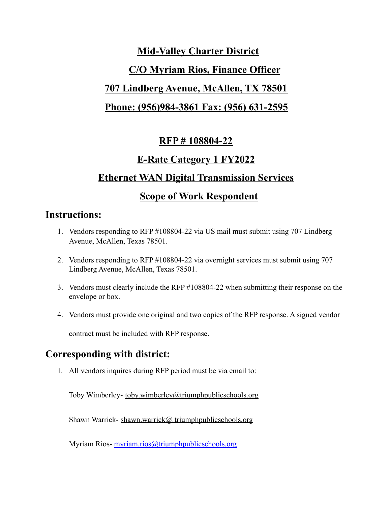# **Mid-Valley Charter District C/O Myriam Rios, Finance Officer 707 Lindberg Avenue, McAllen, TX 78501 Phone: (956)984-3861 Fax: (956) 631-2595**

### **RFP # 108804-22**

### **E-Rate Category 1 FY2022**

# **Ethernet WAN Digital Transmission Services**

### **Scope of Work Respondent**

### **Instructions:**

- 1. Vendors responding to RFP #108804-22 via US mail must submit using 707 Lindberg Avenue, McAllen, Texas 78501.
- 2. Vendors responding to RFP #108804-22 via overnight services must submit using 707 Lindberg Avenue, McAllen, Texas 78501.
- 3. Vendors must clearly include the RFP #108804-22 when submitting their response on the envelope or box.
- 4. Vendors must provide one original and two copies of the RFP response. A signed vendor

contract must be included with RFP response.

# **Corresponding with district:**

1. All vendors inquires during RFP period must be via email to:

Toby Wimberley- toby.wimberley@triumphpublicschools.org

Shawn Warrick- shawn.warrick@ triumphpublicschools.org

Myriam Rios- [myriam.rios@triumphpublicschools.org](mailto:myriam.rios@triumphpublicschools.org%20)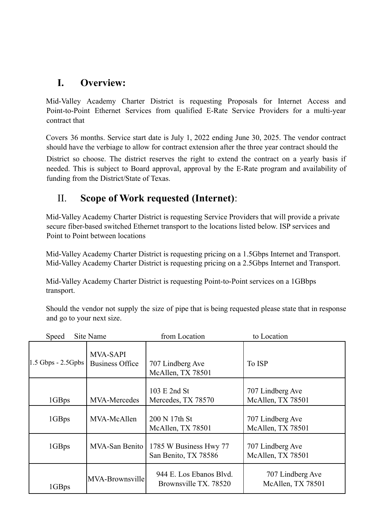### **I. Overview:**

Mid-Valley Academy Charter District is requesting Proposals for Internet Access and Point-to-Point Ethernet Services from qualified E-Rate Service Providers for a multi-year contract that

Covers 36 months. Service start date is July 1, 2022 ending June 30, 2025. The vendor contract should have the verbiage to allow for contract extension after the three year contract should the

District so choose. The district reserves the right to extend the contract on a yearly basis if needed. This is subject to Board approval, approval by the E-Rate program and availability of funding from the District/State of Texas.

# II. **Scope of Work requested (Internet)**:

Mid-Valley Academy Charter District is requesting Service Providers that will provide a private secure fiber-based switched Ethernet transport to the locations listed below. ISP services and Point to Point between locations

Mid-Valley Academy Charter District is requesting pricing on a 1.5Gbps Internet and Transport. Mid-Valley Academy Charter District is requesting pricing on a 2.5Gbps Internet and Transport.

Mid-Valley Academy Charter District is requesting Point-to-Point services on a 1GBbps transport.

Should the vendor not supply the size of pipe that is being requested please state that in response and go to your next size.

| Site Name<br>Speed   |                                           | from Location                                    | to Location                           |  |
|----------------------|-------------------------------------------|--------------------------------------------------|---------------------------------------|--|
| $1.5$ Gbps - 2.5Gpbs | <b>MVA-SAPI</b><br><b>Business Office</b> | 707 Lindberg Ave<br>McAllen, TX 78501            | To ISP                                |  |
| 1GBps                | MVA-Mercedes                              | 103 E 2nd St<br>Mercedes, TX 78570               | 707 Lindberg Ave<br>McAllen, TX 78501 |  |
| 1GBps                | MVA-McAllen                               | 200 N 17th St<br>McAllen, TX 78501               | 707 Lindberg Ave<br>McAllen, TX 78501 |  |
| 1GBps                | MVA-San Benito                            | 1785 W Business Hwy 77<br>San Benito, TX 78586   | 707 Lindberg Ave<br>McAllen, TX 78501 |  |
| 1GBps                | MVA-Brownsville                           | 944 E. Los Ebanos Blvd.<br>Brownsville TX, 78520 | 707 Lindberg Ave<br>McAllen, TX 78501 |  |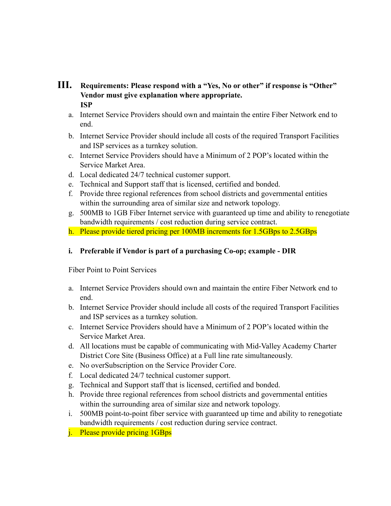#### **III. Requirements: Please respond with a "Yes, No or other" if response is "Other" Vendor must give explanation where appropriate. ISP**

- a. Internet Service Providers should own and maintain the entire Fiber Network end to end.
- b. Internet Service Provider should include all costs of the required Transport Facilities and ISP services as a turnkey solution.
- c. Internet Service Providers should have a Minimum of 2 POP's located within the Service Market Area.
- d. Local dedicated 24/7 technical customer support.
- e. Technical and Support staff that is licensed, certified and bonded.
- f. Provide three regional references from school districts and governmental entities within the surrounding area of similar size and network topology.
- g. 500MB to 1GB Fiber Internet service with guaranteed up time and ability to renegotiate bandwidth requirements / cost reduction during service contract.
- h. Please provide tiered pricing per 100MB increments for 1.5GBps to 2.5GBps

#### **i. Preferable if Vendor is part of a purchasing Co-op; example - DIR**

Fiber Point to Point Services

- a. Internet Service Providers should own and maintain the entire Fiber Network end to end.
- b. Internet Service Provider should include all costs of the required Transport Facilities and ISP services as a turnkey solution.
- c. Internet Service Providers should have a Minimum of 2 POP's located within the Service Market Area.
- d. All locations must be capable of communicating with Mid-Valley Academy Charter District Core Site (Business Office) at a Full line rate simultaneously.
- e. No overSubscription on the Service Provider Core.
- f. Local dedicated 24/7 technical customer support.
- g. Technical and Support staff that is licensed, certified and bonded.
- h. Provide three regional references from school districts and governmental entities within the surrounding area of similar size and network topology.
- i. 500MB point-to-point fiber service with guaranteed up time and ability to renegotiate bandwidth requirements / cost reduction during service contract.
- j. Please provide pricing 1GBps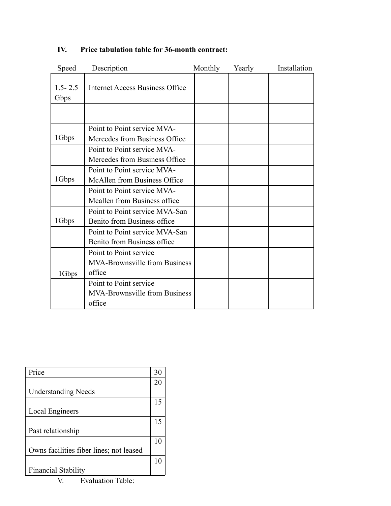| Speed               | Description                                                   | Monthly | Yearly | Installation |
|---------------------|---------------------------------------------------------------|---------|--------|--------------|
| $1.5 - 2.5$<br>Gbps | Internet Access Business Office                               |         |        |              |
|                     |                                                               |         |        |              |
|                     | Point to Point service MVA-                                   |         |        |              |
| 1Gbps               | Mercedes from Business Office                                 |         |        |              |
|                     | Point to Point service MVA-<br>Mercedes from Business Office  |         |        |              |
|                     | Point to Point service MVA-                                   |         |        |              |
| 1Gbps               | McAllen from Business Office                                  |         |        |              |
|                     | Point to Point service MVA-                                   |         |        |              |
|                     | Mcallen from Business office                                  |         |        |              |
| 1Gbps               | Point to Point service MVA-San<br>Benito from Business office |         |        |              |
|                     | Point to Point service MVA-San                                |         |        |              |
|                     | Benito from Business office                                   |         |        |              |
|                     | Point to Point service                                        |         |        |              |
|                     | <b>MVA-Brownsville from Business</b>                          |         |        |              |
| 1Gbps               | office                                                        |         |        |              |
|                     | Point to Point service                                        |         |        |              |
|                     | <b>MVA-Brownsville from Business</b>                          |         |        |              |
|                     | office                                                        |         |        |              |

#### **IV. Price tabulation table for 36-month contract:**

| Price                                   | 30 |  |
|-----------------------------------------|----|--|
|                                         | 20 |  |
| <b>Understanding Needs</b>              |    |  |
|                                         | 15 |  |
| Local Engineers                         |    |  |
|                                         | 15 |  |
| Past relationship                       |    |  |
|                                         | 10 |  |
| Owns facilities fiber lines; not leased |    |  |
|                                         | 10 |  |
| <b>Financial Stability</b>              |    |  |
| <b>Evaluation Table:</b>                |    |  |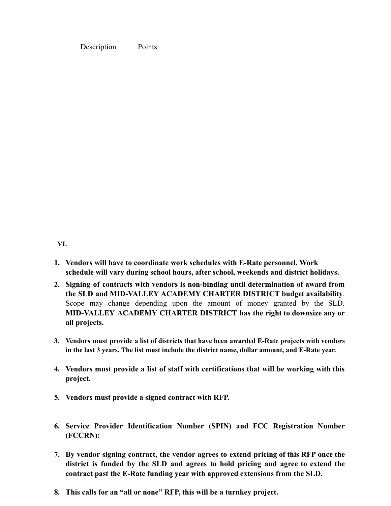Description Points

**VI.**

- **1. Vendors will have to coordinate work schedules with E-Rate personnel. Work schedule will vary during school hours, after school, weekends and district holidays.**
- **2. Signing of contracts with vendors is non-binding until determination of award from the SLD and MID-VALLEY ACADEMY CHARTER DISTRICT budget availability**. Scope may change depending upon the amount of money granted by the SLD. **MID-VALLEY ACADEMY CHARTER DISTRICT has the right to downsize any or all projects.**
- **3. Vendors must provide a list of districts that have been awarded E-Rate projects with vendors in the last 3 years. The list must include the district name, dollar amount, and E-Rate year.**
- **4. Vendors must provide a list of staff with certifications that will be working with this project.**
- **5. Vendors must provide a signed contract with RFP.**
- **6. Service Provider Identification Number (SPIN) and FCC Registration Number (FCCRN):**
- **7. By vendor signing contract, the vendor agrees to extend pricing of this RFP once the district is funded by the SLD and agrees to hold pricing and agree to extend the contract past the E-Rate funding year with approved extensions from the SLD.**
- **8. This calls for an "all or none" RFP, this will be a turnkey project.**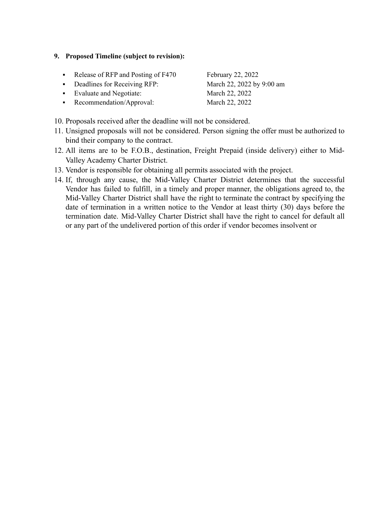#### **9. Proposed Timeline (subject to revision):**

- Release of RFP and Posting of F470 February 22, 2022
- Deadlines for Receiving RFP: March 22, 2022 by 9:00 am
- Evaluate and Negotiate: March 22, 2022

• Recommendation/Approval: March 22, 2022

10. Proposals received after the deadline will not be considered.

- 11. Unsigned proposals will not be considered. Person signing the offer must be authorized to bind their company to the contract.
- 12. All items are to be F.O.B., destination, Freight Prepaid (inside delivery) either to Mid-Valley Academy Charter District.
- 13. Vendor is responsible for obtaining all permits associated with the project.
- 14. If, through any cause, the Mid-Valley Charter District determines that the successful Vendor has failed to fulfill, in a timely and proper manner, the obligations agreed to, the Mid-Valley Charter District shall have the right to terminate the contract by specifying the date of termination in a written notice to the Vendor at least thirty (30) days before the termination date. Mid-Valley Charter District shall have the right to cancel for default all or any part of the undelivered portion of this order if vendor becomes insolvent or